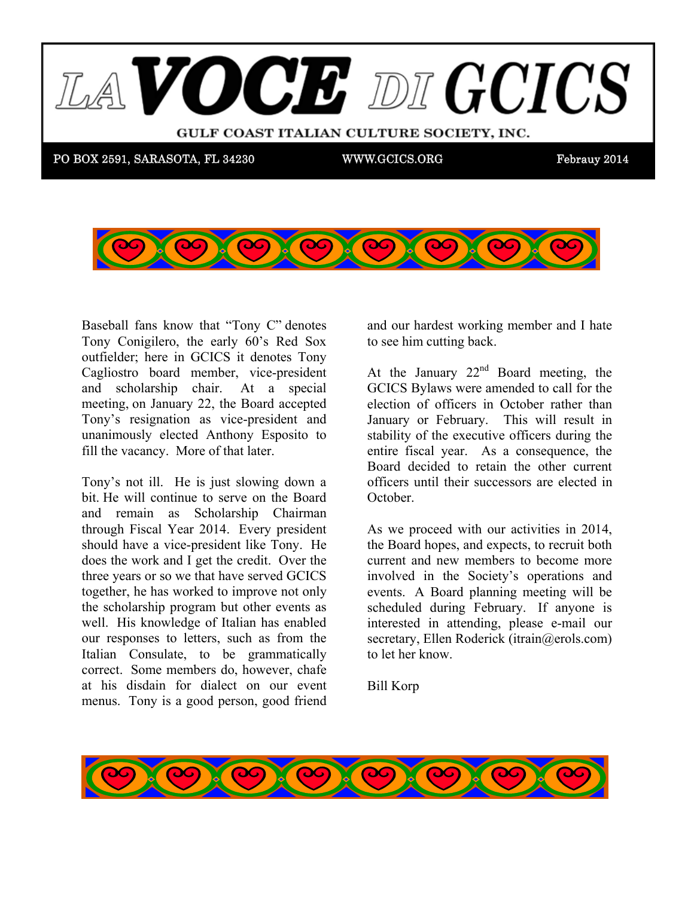

 $\sum_{i=1}^{\infty}$   $\sum_{i=1}^{\infty}$   $\sum_{i=1}^{\infty}$   $\sum_{i=1}^{\infty}$   $\sum_{i=1}^{\infty}$   $\sum_{i=1}^{\infty}$   $\sum_{i=1}^{\infty}$   $\sum_{i=1}^{\infty}$   $\sum_{i=1}^{\infty}$   $\sum_{i=1}^{\infty}$   $\sum_{i=1}^{\infty}$   $\sum_{i=1}^{\infty}$   $\sum_{i=1}^{\infty}$   $\sum_{i=1}^{\infty}$   $\sum_{i=1}^{\in$ Tony Conigilero, the early 60's Red Sox outfielder; here in GCICS it denotes Tony Cagliostro board member, vice-president and scholarship chair. At a special meeting, on January 22, the Board accepted Tony's resignation as vice-president and we believe that use the president will unanimously elected Anthony Esposito to fill the vacancy. More of that later. Baseball fans know that "Tony C" denotes

GCIC SOFT

Tony's not ill. He is just slowing down a bit. He will continue to serve on the Board and remain as Scholarship Chairman through Fiscal Year 2014. Every president  $\frac{1}{1}$  and  $\frac{1}{1}$  and  $\frac{1}{1}$  and  $\frac{1}{1}$  and  $\frac{1}{1}$  and  $\frac{1}{1}$  and  $\frac{1}{1}$  and  $\frac{1}{1}$  and  $\frac{1}{1}$  and  $\frac{1}{1}$  and  $\frac{1}{1}$  and  $\frac{1}{1}$  and  $\frac{1}{1}$  and  $\frac{1}{1}$  and  $\frac{1}{1}$  and  $\frac{1}{1}$  a should have a vice-president like Tony. He does the work and I get the credit. Over the together, he has worked to improve not only well. His knowledge of Italian has enabled.  $J_4$  1,  $J_5$  dues in order to submission of dues in order to due to due to due to due to due to due to due to due to due to due to due to due to due to due to due to due to due to due to due to due to due to due to due Italian Consulate, to be grammatically. at his disdain for dialect on our event menus. Tony is a good person, good friend three years or so we that have served GCICS the scholarship program but other events as our responses to letters, such as from the correct. Some members do, however, chafe

 $\frac{1}{2}$  and  $\frac{1}{2}$  bordest working member and I hete and our hardest working member and I hate to see him cutting back.

 $t$  , we need that  $\mathcal{L}$ 

prize? A \$25 gift certificate for Mozzarela Fella for Angela

At the January  $22<sup>nd</sup>$  Board meeting, the election of officers in October rather than January or February. This will result in  $\frac{1}{100}$  on the newsletter the newsletter the  $\frac{1}{100}$ stability of the executive officers during the entire fiscal year. As a consequence, the Board decided to retain the other current officers until their successors are elected in GCICS Bylaws were amended to call for the October.

As we proceed with our activities in 2014,  $\frac{1}{10}$  myself with Cliff and and  $\frac{1}{100}$  is  $\frac{1}{100}$  to  $\frac{1}{100}$  and  $\frac{1}{100}$  is  $\frac{1}{100}$  and  $\frac{1}{100}$  is  $\frac{1}{100}$  is  $\frac{1}{100}$  in  $\frac{1}{100}$  is  $\frac{1}{100}$  in  $\frac{1}{100}$  is  $\frac{1}{100}$  in  $\$ the Board hopes, and expects, to recruit both current and new members to become more involved in the Society's operations and scheduled during February. If anyone is interested in attending, please e-mail our  $\frac{1}{2}$ secretary, Ellen Roderick (itrain@erols.com) to let her know. events. A Board planning meeting will be

Bill Korp

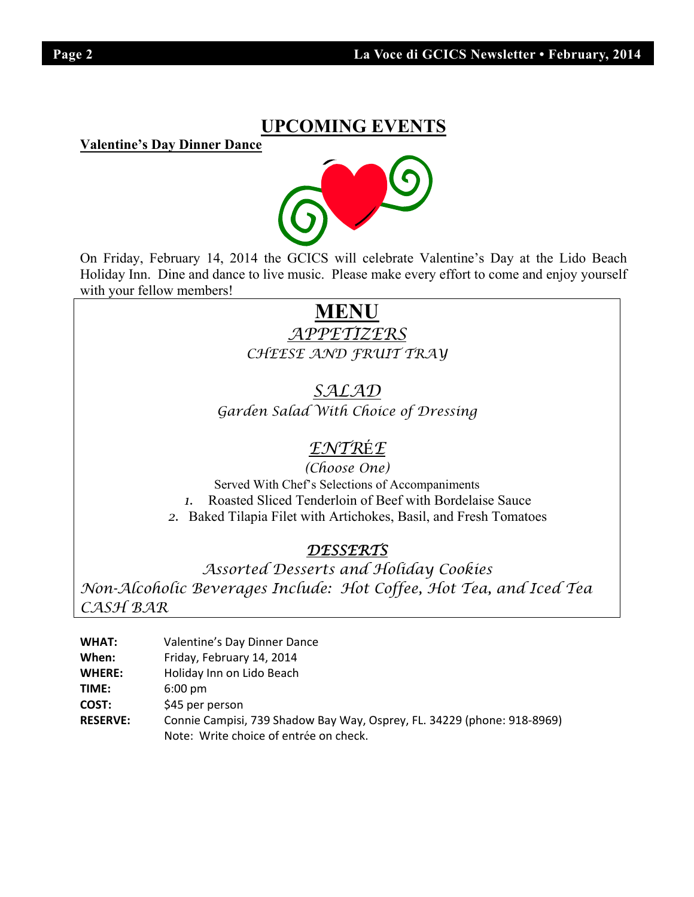## **UPCOMING EVENTS**

**Valentine's Day Dinner Dance** 



On Friday, February 14, 2014 the GCICS will celebrate Valentine's Day at the Lido Beach Holiday Inn. Dine and dance to live music. Please make every effort to come and enjoy yourself with your fellow members!

# **MENU**

*APPETIZERS CHEESE AND FRUIT TRAY* 

*SALAD Garden Salad With Choice of Dressing* 

## *ENTR*É*E*

*(Choose One)*  Served With Chef's Selections of Accompaniments *1.* Roasted Sliced Tenderloin of Beef with Bordelaise Sauce

*2.* Baked Tilapia Filet with Artichokes, Basil, and Fresh Tomatoes

## *DESSERTS*

*Assorted Desserts and Holiday Cookies Non-Alcoholic Beverages Include: Hot Coffee, Hot Tea, and Iced Tea CASH BAR* 

| WHAT:           | Valentine's Day Dinner Dance                                                                                      |
|-----------------|-------------------------------------------------------------------------------------------------------------------|
| When:           | Friday, February 14, 2014                                                                                         |
| <b>WHERE:</b>   | Holiday Inn on Lido Beach                                                                                         |
| TIME:           | $6:00 \text{ pm}$                                                                                                 |
| COST:           | \$45 per person                                                                                                   |
| <b>RESERVE:</b> | Connie Campisi, 739 Shadow Bay Way, Osprey, FL. 34229 (phone: 918-8969)<br>Note: Write choice of entrée on check. |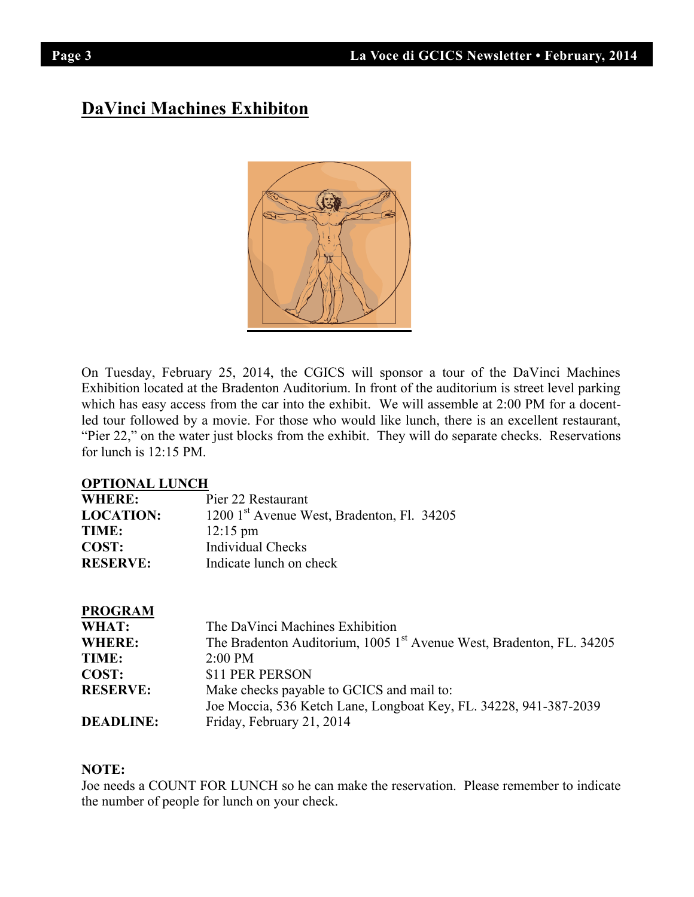## **DaVinci Machines Exhibiton**



On Tuesday, February 25, 2014, the CGICS will sponsor a tour of the DaVinci Machines Exhibition located at the Bradenton Auditorium. In front of the auditorium is street level parking which has easy access from the car into the exhibit. We will assemble at 2:00 PM for a docentled tour followed by a movie. For those who would like lunch, there is an excellent restaurant, "Pier 22," on the water just blocks from the exhibit. They will do separate checks. Reservations for lunch is 12:15 PM.

#### **OPTIONAL LUNCH**

| <b>WHERE:</b>    | Pier 22 Restaurant                                     |
|------------------|--------------------------------------------------------|
| <b>LOCATION:</b> | 1200 1 <sup>st</sup> Avenue West, Bradenton, Fl. 34205 |
| TIME:            | $12:15 \text{ pm}$                                     |
| <b>COST:</b>     | Individual Checks                                      |
| <b>RESERVE:</b>  | Indicate lunch on check                                |

| <b>PROGRAM</b>   |                                                                                  |
|------------------|----------------------------------------------------------------------------------|
| WHAT:            | The DaVinci Machines Exhibition                                                  |
| WHERE:           | The Bradenton Auditorium, 1005 1 <sup>st</sup> Avenue West, Bradenton, FL. 34205 |
| TIME:            | $2:00 \text{ PM}$                                                                |
| COST:            | \$11 PER PERSON                                                                  |
| <b>RESERVE:</b>  | Make checks payable to GCICS and mail to:                                        |
|                  | Joe Moccia, 536 Ketch Lane, Longboat Key, FL. 34228, 941-387-2039                |
| <b>DEADLINE:</b> | Friday, February 21, 2014                                                        |

#### **NOTE:**

Joe needs a COUNT FOR LUNCH so he can make the reservation. Please remember to indicate the number of people for lunch on your check.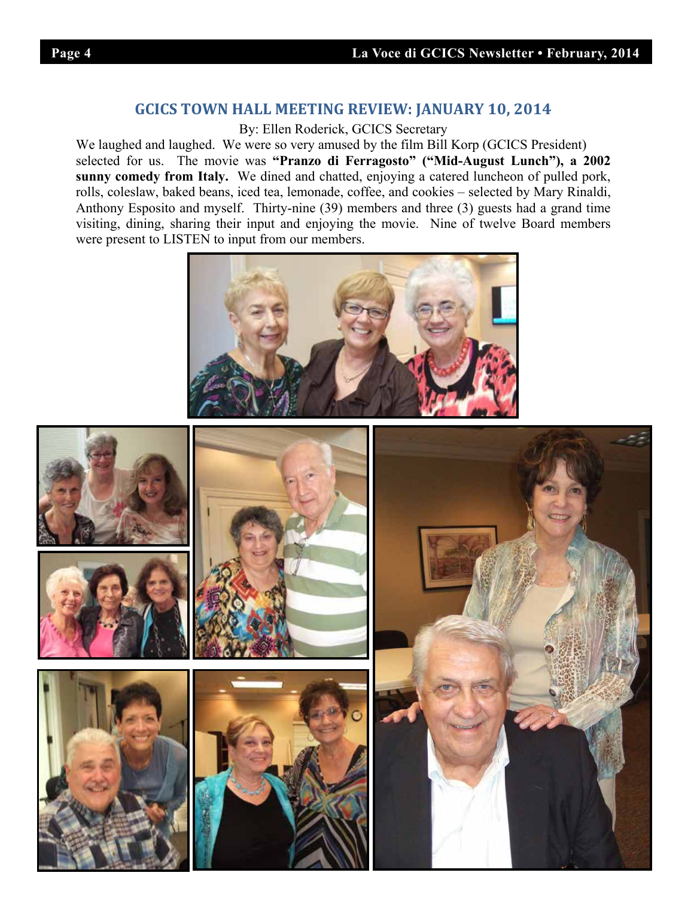### **GCICS TOWN HALL MEETING REVIEW: JANUARY 10, 2014**

By: Ellen Roderick, GCICS Secretary

We laughed and laughed. We were so very amused by the film Bill Korp (GCICS President) selected for us. The movie was **"Pranzo di Ferragosto" ("Mid-August Lunch"), a 2002 sunny comedy from Italy.** We dined and chatted, enjoying a catered luncheon of pulled pork, rolls, coleslaw, baked beans, iced tea, lemonade, coffee, and cookies – selected by Mary Rinaldi, Anthony Esposito and myself. Thirty-nine (39) members and three (3) guests had a grand time visiting, dining, sharing their input and enjoying the movie. Nine of twelve Board members were present to LISTEN to input from our members.



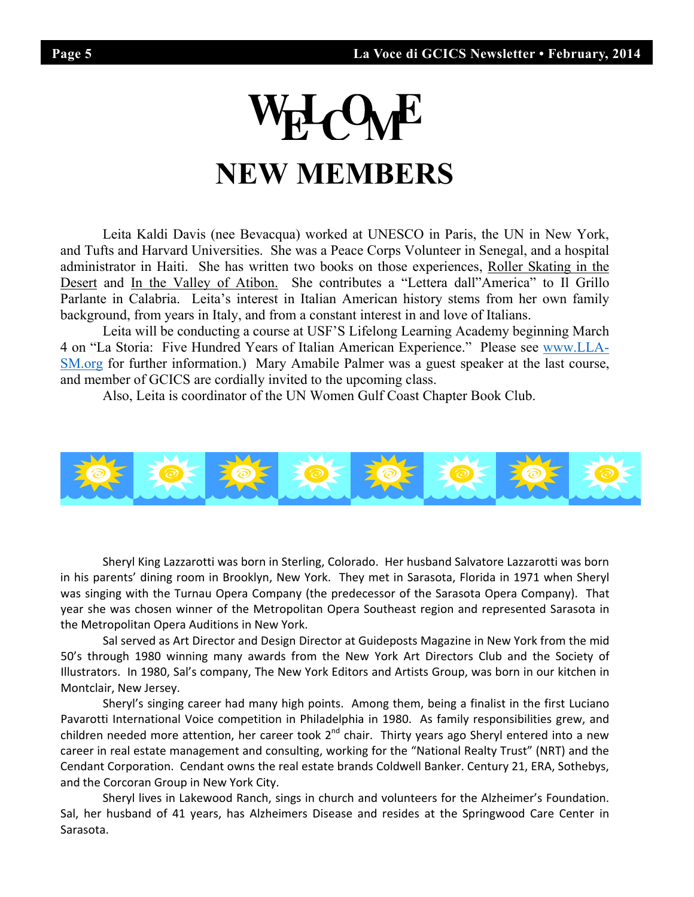# **HOWE NEW MEMBERS**

Leita Kaldi Davis (nee Bevacqua) worked at UNESCO in Paris, the UN in New York, and Tufts and Harvard Universities. She was a Peace Corps Volunteer in Senegal, and a hospital administrator in Haiti. She has written two books on those experiences, Roller Skating in the Desert and In the Valley of Atibon. She contributes a "Lettera dall"America" to Il Grillo Parlante in Calabria. Leita's interest in Italian American history stems from her own family background, from years in Italy, and from a constant interest in and love of Italians.

 Leita will be conducting a course at USF'S Lifelong Learning Academy beginning March 4 on "La Storia: Five Hundred Years of Italian American Experience." Please see www.LLA-SM.org for further information.) Mary Amabile Palmer was a guest speaker at the last course, and member of GCICS are cordially invited to the upcoming class.

Also, Leita is coordinator of the UN Women Gulf Coast Chapter Book Club.



Sheryl King Lazzarotti was born in Sterling, Colorado. Her husband Salvatore Lazzarotti was born in his parents' dining room in Brooklyn, New York. They met in Sarasota, Florida in 1971 when Sheryl was singing with the Turnau Opera Company (the predecessor of the Sarasota Opera Company). That year she was chosen winner of the Metropolitan Opera Southeast region and represented Sarasota in the Metropolitan Opera Auditions in New York.

Sal served as Art Director and Design Director at Guideposts Magazine in New York from the mid 50's through 1980 winning many awards from the New York Art Directors Club and the Society of Illustrators. In 1980, Sal's company, The New York Editors and Artists Group, was born in our kitchen in Montclair, New Jersey.

Sheryl's singing career had many high points. Among them, being a finalist in the first Luciano Pavarotti International Voice competition in Philadelphia in 1980. As family responsibilities grew, and children needed more attention, her career took 2<sup>nd</sup> chair. Thirty years ago Sheryl entered into a new career in real estate management and consulting, working for the "National Realty Trust" (NRT) and the Cendant Corporation. Cendant owns the real estate brands Coldwell Banker. Century 21, ERA, Sothebys, and the Corcoran Group in New York City.

Sheryl lives in Lakewood Ranch, sings in church and volunteers for the Alzheimer's Foundation. Sal, her husband of 41 years, has Alzheimers Disease and resides at the Springwood Care Center in Sarasota.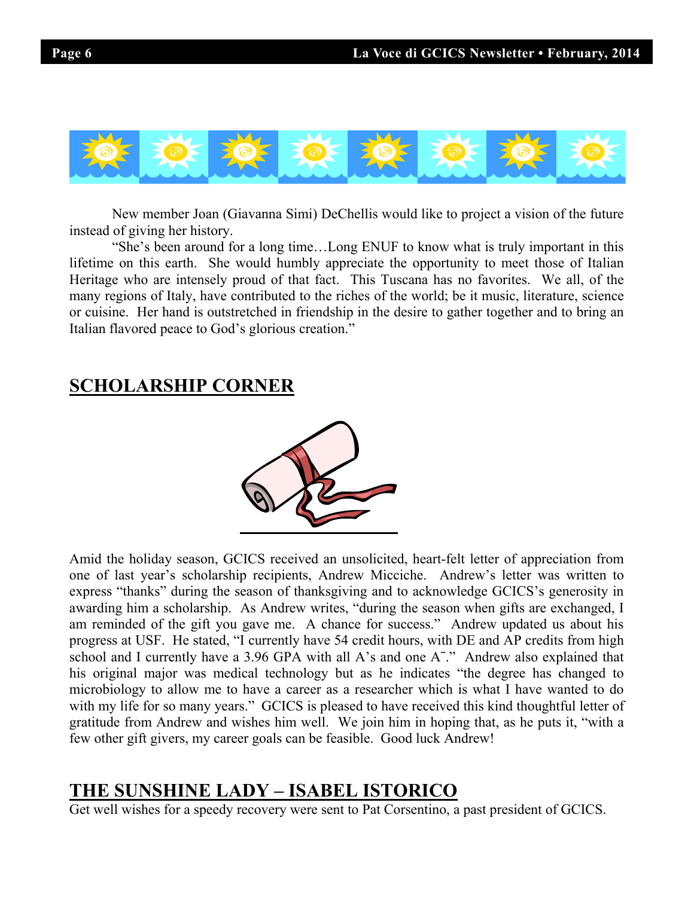

New member Joan (Giavanna Simi) DeChellis would like to project a vision of the future instead of giving her history.

"She's been around for a long time…Long ENUF to know what is truly important in this lifetime on this earth. She would humbly appreciate the opportunity to meet those of Italian Heritage who are intensely proud of that fact. This Tuscana has no favorites. We all, of the many regions of Italy, have contributed to the riches of the world; be it music, literature, science or cuisine. Her hand is outstretched in friendship in the desire to gather together and to bring an Italian flavored peace to God's glorious creation."

## **SCHOLARSHIP CORNER**



Amid the holiday season, GCICS received an unsolicited, heart-felt letter of appreciation from one of last year's scholarship recipients, Andrew Micciche. Andrew's letter was written to express "thanks" during the season of thanksgiving and to acknowledge GCICS's generosity in awarding him a scholarship. As Andrew writes, "during the season when gifts are exchanged, I am reminded of the gift you gave me. A chance for success." Andrew updated us about his progress at USF. He stated, "I currently have 54 credit hours, with DE and AP credits from high school and I currently have a 3.96 GPA with all A's and one A<sup>-</sup>." Andrew also explained that his original major was medical technology but as he indicates "the degree has changed to microbiology to allow me to have a career as a researcher which is what I have wanted to do with my life for so many years." GCICS is pleased to have received this kind thoughtful letter of gratitude from Andrew and wishes him well. We join him in hoping that, as he puts it, "with a few other gift givers, my career goals can be feasible. Good luck Andrew!

## **THE SUNSHINE LADY – ISABEL ISTORICO**

Get well wishes for a speedy recovery were sent to Pat Corsentino, a past president of GCICS.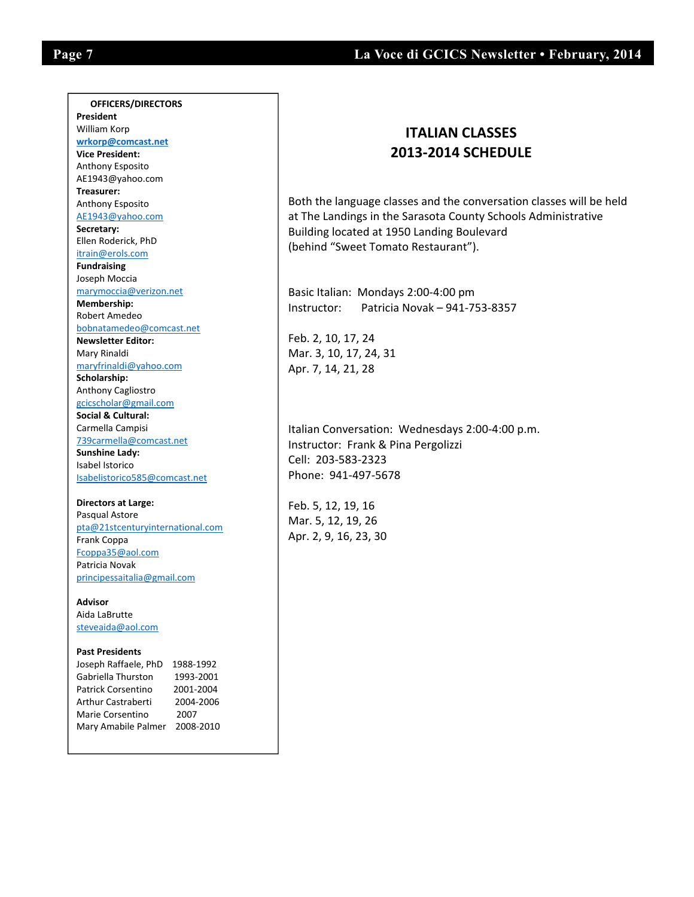$\overline{\phantom{a}}$ 

#### **OFFICERS/DIRECTORS President**  William Korp  **wrkorp@comcast.net Vice President:** Anthony Esposito AE1943@yahoo.com **Treasurer:** Anthony Esposito AE1943@yahoo.com **Secretary:**  Ellen Roderick, PhD itrain@erols.com **Fundraising**  Joseph Moccia marymoccia@verizon.net **Membership:** Robert Amedeo bobnatamedeo@comcast.net **Newsletter Editor:** Mary Rinaldi maryfrinaldi@yahoo.com **Scholarship:** Anthony Cagliostro gcicscholar@gmail.com **Social & Cultural:** Carmella Campisi 739carmella@comcast.net **Sunshine Lady:**  Isabel Istorico Isabelistorico585@comcast.net

**Directors at Large:**  Pasqual Astore pta@21stcenturyinternational.com Frank Coppa Fcoppa35@aol.com Patricia Novak principessaitalia@gmail.com

**Advisor** Aida LaBrutte steveaida@aol.com

#### **Past Presidents**

Joseph Raffaele, PhD 1988‐1992 Gabriella Thurston 1993‐2001 Patrick Corsentino 2001‐2004 Arthur Castraberti 2004‐2006 Marie Corsentino 2007 Mary Amabile Palmer 2008‐2010

## **ITALIAN CLASSES 2013‐2014 SCHEDULE**

Both the language classes and the conversation classes will be held at The Landings in the Sarasota County Schools Administrative Building located at 1950 Landing Boulevard (behind "Sweet Tomato Restaurant").

Basic Italian: Mondays 2:00‐4:00 pm Instructor: Patricia Novak – 941‐753‐8357

Feb. 2, 10, 17, 24 Mar. 3, 10, 17, 24, 31 Apr. 7, 14, 21, 28

Italian Conversation: Wednesdays 2:00‐4:00 p.m. Instructor: Frank & Pina Pergolizzi Cell: 203‐583‐2323 Phone: 941‐497‐5678

Feb. 5, 12, 19, 16 Mar. 5, 12, 19, 26 Apr. 2, 9, 16, 23, 30